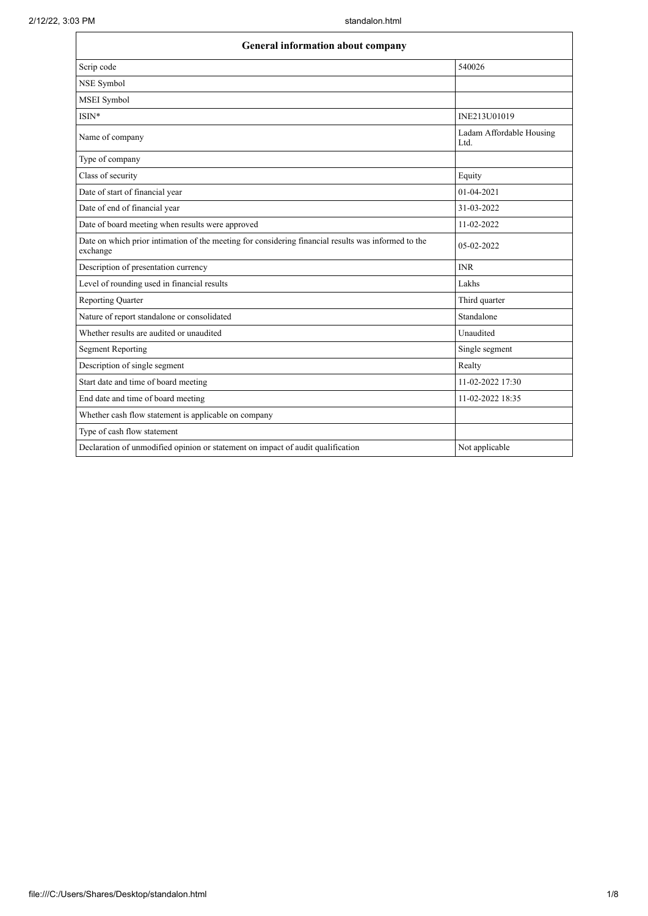| <b>General information about company</b>                                                                        |                                  |
|-----------------------------------------------------------------------------------------------------------------|----------------------------------|
| Scrip code                                                                                                      | 540026                           |
| NSE Symbol                                                                                                      |                                  |
| <b>MSEI</b> Symbol                                                                                              |                                  |
| $ISIN*$                                                                                                         | INE213U01019                     |
| Name of company                                                                                                 | Ladam Affordable Housing<br>Ltd. |
| Type of company                                                                                                 |                                  |
| Class of security                                                                                               | Equity                           |
| Date of start of financial year                                                                                 | 01-04-2021                       |
| Date of end of financial year                                                                                   | 31-03-2022                       |
| Date of board meeting when results were approved                                                                | 11-02-2022                       |
| Date on which prior intimation of the meeting for considering financial results was informed to the<br>exchange | 05-02-2022                       |
| Description of presentation currency                                                                            | <b>INR</b>                       |
| Level of rounding used in financial results                                                                     | Lakhs                            |
| <b>Reporting Quarter</b>                                                                                        | Third quarter                    |
| Nature of report standalone or consolidated                                                                     | Standalone                       |
| Whether results are audited or unaudited                                                                        | Unaudited                        |
| <b>Segment Reporting</b>                                                                                        | Single segment                   |
| Description of single segment                                                                                   | Realty                           |
| Start date and time of board meeting                                                                            | 11-02-2022 17:30                 |
| End date and time of board meeting                                                                              | 11-02-2022 18:35                 |
| Whether cash flow statement is applicable on company                                                            |                                  |
| Type of cash flow statement                                                                                     |                                  |
| Declaration of unmodified opinion or statement on impact of audit qualification                                 | Not applicable                   |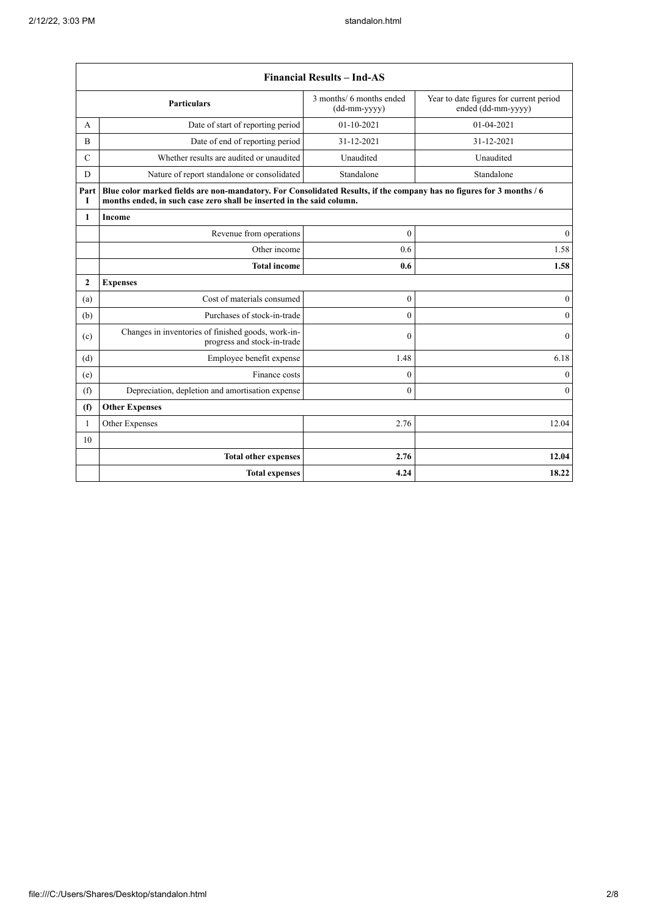| <b>Financial Results - Ind-AS</b> |                                                                                                                                                                                               |                                            |                                                               |  |
|-----------------------------------|-----------------------------------------------------------------------------------------------------------------------------------------------------------------------------------------------|--------------------------------------------|---------------------------------------------------------------|--|
|                                   | <b>Particulars</b>                                                                                                                                                                            | 3 months/ 6 months ended<br>$(dd-mm-yyyy)$ | Year to date figures for current period<br>ended (dd-mm-yyyy) |  |
| A                                 | Date of start of reporting period                                                                                                                                                             | $01-10-2021$                               | $01-04-2021$                                                  |  |
| B                                 | Date of end of reporting period                                                                                                                                                               | 31-12-2021                                 | 31-12-2021                                                    |  |
| $\mathcal{C}$                     | Whether results are audited or unaudited                                                                                                                                                      | Unaudited                                  | Unaudited                                                     |  |
| $\overline{D}$                    | Nature of report standalone or consolidated                                                                                                                                                   | Standalone                                 | Standalone                                                    |  |
| Part<br>I                         | Blue color marked fields are non-mandatory. For Consolidated Results, if the company has no figures for 3 months / 6<br>months ended, in such case zero shall be inserted in the said column. |                                            |                                                               |  |
| $\mathbf{1}$                      | <b>Income</b>                                                                                                                                                                                 |                                            |                                                               |  |
|                                   | Revenue from operations                                                                                                                                                                       | $\mathbf{0}$                               | $\mathbf{0}$                                                  |  |
|                                   | Other income                                                                                                                                                                                  | 0.6                                        | 1.58                                                          |  |
|                                   | <b>Total income</b>                                                                                                                                                                           | 0.6                                        | 1.58                                                          |  |
| $\overline{2}$                    | <b>Expenses</b>                                                                                                                                                                               |                                            |                                                               |  |
| (a)                               | Cost of materials consumed                                                                                                                                                                    | $\boldsymbol{0}$                           | $\boldsymbol{0}$                                              |  |
| (b)                               | Purchases of stock-in-trade                                                                                                                                                                   | $\mathbf{0}$                               | $\boldsymbol{0}$                                              |  |
| (c)                               | Changes in inventories of finished goods, work-in-<br>progress and stock-in-trade                                                                                                             | $\theta$                                   | $\Omega$                                                      |  |
| (d)                               | Employee benefit expense                                                                                                                                                                      | 1.48                                       | 6.18                                                          |  |
| (e)                               | Finance costs                                                                                                                                                                                 | $\mathbf{0}$                               | $\mathbf{0}$                                                  |  |
| (f)                               | Depreciation, depletion and amortisation expense                                                                                                                                              | $\mathbf{0}$                               | $\boldsymbol{0}$                                              |  |
| (f)                               | <b>Other Expenses</b>                                                                                                                                                                         |                                            |                                                               |  |
| 1                                 | Other Expenses                                                                                                                                                                                | 2.76                                       | 12.04                                                         |  |
| 10                                |                                                                                                                                                                                               |                                            |                                                               |  |
|                                   | <b>Total other expenses</b>                                                                                                                                                                   | 2.76                                       | 12.04                                                         |  |
|                                   | <b>Total expenses</b>                                                                                                                                                                         | 4.24                                       | 18.22                                                         |  |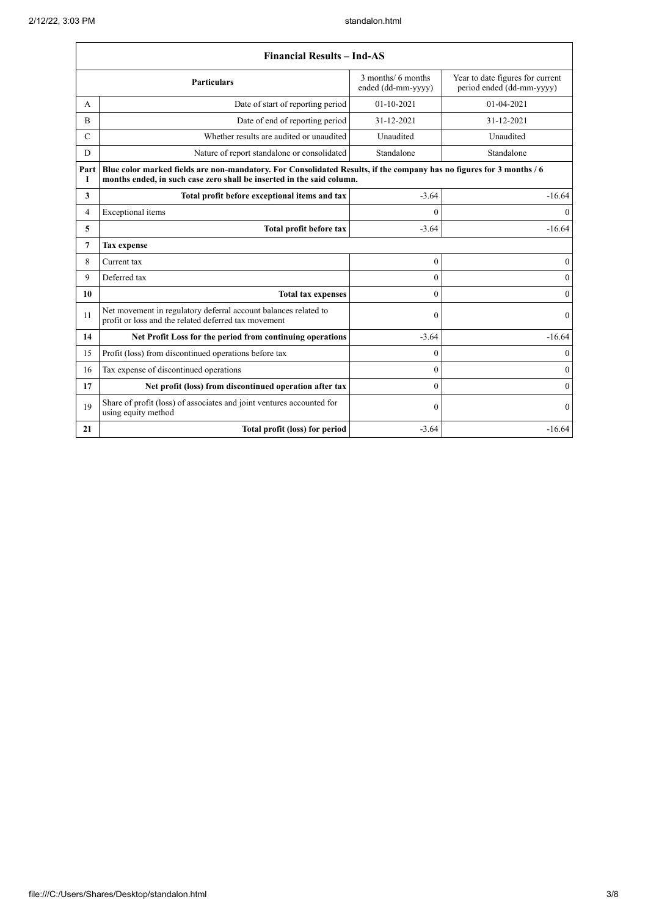$\mathbf{r}$ 

| <b>Financial Results - Ind-AS</b> |                                                                                                                                                                                               |                                          |                                                               |  |
|-----------------------------------|-----------------------------------------------------------------------------------------------------------------------------------------------------------------------------------------------|------------------------------------------|---------------------------------------------------------------|--|
|                                   | <b>Particulars</b>                                                                                                                                                                            | 3 months/ 6 months<br>ended (dd-mm-yyyy) | Year to date figures for current<br>period ended (dd-mm-yyyy) |  |
| A                                 | Date of start of reporting period                                                                                                                                                             | $01 - 10 - 2021$                         | 01-04-2021                                                    |  |
| B                                 | Date of end of reporting period                                                                                                                                                               | 31-12-2021                               | 31-12-2021                                                    |  |
| $\mathcal{C}$                     | Whether results are audited or unaudited                                                                                                                                                      | Unaudited                                | Unaudited                                                     |  |
| D                                 | Nature of report standalone or consolidated                                                                                                                                                   | Standalone                               | Standalone                                                    |  |
| Part<br>Т                         | Blue color marked fields are non-mandatory. For Consolidated Results, if the company has no figures for 3 months / 6<br>months ended, in such case zero shall be inserted in the said column. |                                          |                                                               |  |
| 3                                 | Total profit before exceptional items and tax                                                                                                                                                 | $-3.64$                                  | $-16.64$                                                      |  |
| $\overline{4}$                    | Exceptional items                                                                                                                                                                             | $\theta$                                 | $\mathbf{0}$                                                  |  |
| 5                                 | Total profit before tax                                                                                                                                                                       | $-3.64$                                  | $-16.64$                                                      |  |
| $\overline{7}$                    | Tax expense                                                                                                                                                                                   |                                          |                                                               |  |
| 8                                 | Current tax                                                                                                                                                                                   | $\mathbf{0}$                             | $\mathbf{0}$                                                  |  |
| 9                                 | Deferred tax                                                                                                                                                                                  | $\theta$                                 | $\Omega$                                                      |  |
| 10                                | <b>Total tax expenses</b>                                                                                                                                                                     | $\theta$                                 | $\theta$                                                      |  |
| 11                                | Net movement in regulatory deferral account balances related to<br>profit or loss and the related deferred tax movement                                                                       | $\mathbf{0}$                             | $\mathbf{0}$                                                  |  |
| 14                                | Net Profit Loss for the period from continuing operations                                                                                                                                     | $-3.64$                                  | $-16.64$                                                      |  |
| 15                                | Profit (loss) from discontinued operations before tax                                                                                                                                         | $\mathbf{0}$                             | $\boldsymbol{0}$                                              |  |
| 16                                | Tax expense of discontinued operations                                                                                                                                                        | $\theta$                                 | $\mathbf{0}$                                                  |  |
| 17                                | Net profit (loss) from discontinued operation after tax                                                                                                                                       | $\theta$                                 | $\theta$                                                      |  |
| 19                                | Share of profit (loss) of associates and joint ventures accounted for<br>using equity method                                                                                                  | $\mathbf{0}$                             | $\Omega$                                                      |  |
| 21                                | Total profit (loss) for period                                                                                                                                                                | $-3.64$                                  | $-16.64$                                                      |  |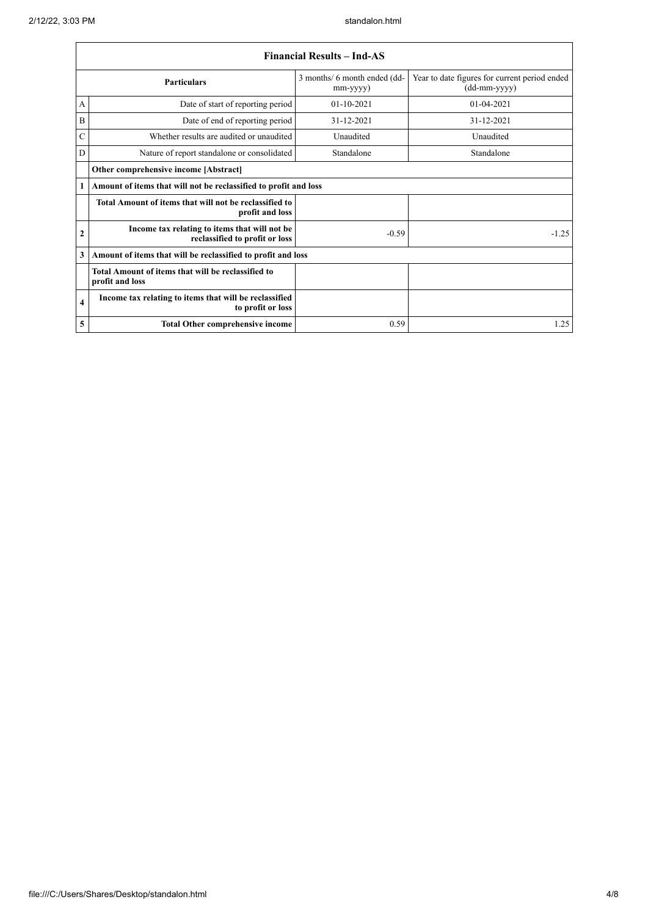$\Gamma$ 

|   | <b>Financial Results - Ind-AS</b>                                               |                                                |                                                                 |  |
|---|---------------------------------------------------------------------------------|------------------------------------------------|-----------------------------------------------------------------|--|
|   | <b>Particulars</b>                                                              | 3 months/ 6 month ended (dd-<br>$mm$ -yyyy $)$ | Year to date figures for current period ended<br>$(dd-mm-yyyy)$ |  |
| A | Date of start of reporting period                                               | $01 - 10 - 2021$                               | 01-04-2021                                                      |  |
| B | Date of end of reporting period                                                 | 31-12-2021                                     | 31-12-2021                                                      |  |
| C | Whether results are audited or unaudited                                        | Unaudited                                      | Unaudited                                                       |  |
| D | Nature of report standalone or consolidated                                     | Standalone                                     | Standalone                                                      |  |
|   | Other comprehensive income [Abstract]                                           |                                                |                                                                 |  |
| 1 | Amount of items that will not be reclassified to profit and loss                |                                                |                                                                 |  |
|   | Total Amount of items that will not be reclassified to<br>profit and loss       |                                                |                                                                 |  |
| 2 | Income tax relating to items that will not be<br>reclassified to profit or loss | $-0.59$                                        | $-1.25$                                                         |  |
| 3 | Amount of items that will be reclassified to profit and loss                    |                                                |                                                                 |  |
|   | Total Amount of items that will be reclassified to<br>profit and loss           |                                                |                                                                 |  |
| 4 | Income tax relating to items that will be reclassified<br>to profit or loss     |                                                |                                                                 |  |
| 5 | <b>Total Other comprehensive income</b>                                         | 0.59                                           | 1.25                                                            |  |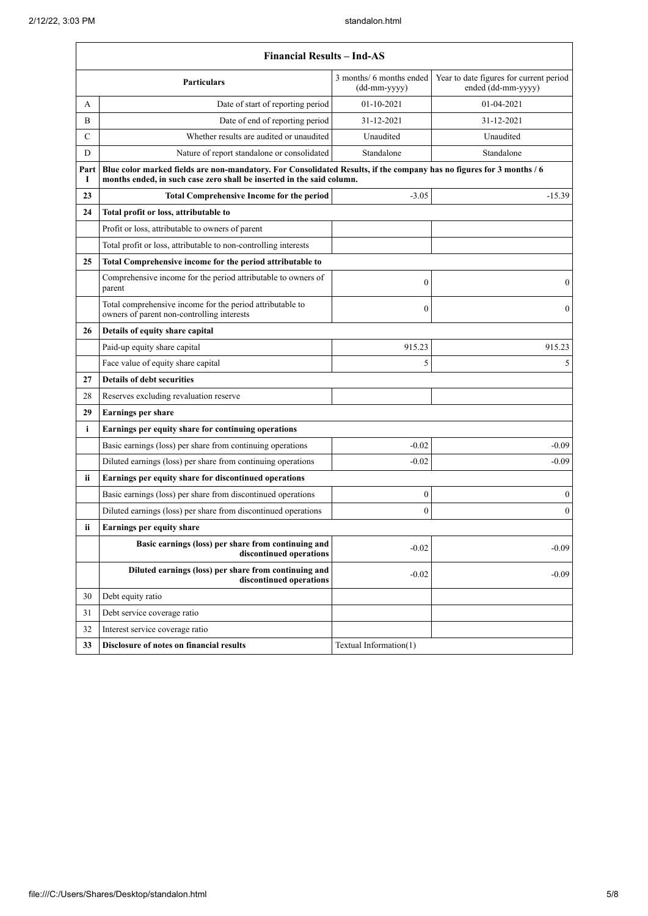$\mathbf{r}$ 

|           | <b>Financial Results - Ind-AS</b>                                                                                                                                                             |                                          |                                                               |  |
|-----------|-----------------------------------------------------------------------------------------------------------------------------------------------------------------------------------------------|------------------------------------------|---------------------------------------------------------------|--|
|           | <b>Particulars</b>                                                                                                                                                                            | 3 months/ 6 months ended<br>(dd-mm-yyyy) | Year to date figures for current period<br>ended (dd-mm-yyyy) |  |
| А         | Date of start of reporting period                                                                                                                                                             | $01-10-2021$                             | 01-04-2021                                                    |  |
| B         | Date of end of reporting period                                                                                                                                                               | 31-12-2021                               | 31-12-2021                                                    |  |
| С         | Whether results are audited or unaudited                                                                                                                                                      | Unaudited                                | Unaudited                                                     |  |
| D         | Nature of report standalone or consolidated                                                                                                                                                   | Standalone                               | Standalone                                                    |  |
| Part<br>1 | Blue color marked fields are non-mandatory. For Consolidated Results, if the company has no figures for 3 months / 6<br>months ended, in such case zero shall be inserted in the said column. |                                          |                                                               |  |
| 23        | <b>Total Comprehensive Income for the period</b>                                                                                                                                              | $-3.05$                                  | $-15.39$                                                      |  |
| 24        | Total profit or loss, attributable to                                                                                                                                                         |                                          |                                                               |  |
|           | Profit or loss, attributable to owners of parent                                                                                                                                              |                                          |                                                               |  |
|           | Total profit or loss, attributable to non-controlling interests                                                                                                                               |                                          |                                                               |  |
| 25        | Total Comprehensive income for the period attributable to                                                                                                                                     |                                          |                                                               |  |
|           | Comprehensive income for the period attributable to owners of<br>parent                                                                                                                       | $\mathbf{0}$                             | $\boldsymbol{0}$                                              |  |
|           | Total comprehensive income for the period attributable to<br>owners of parent non-controlling interests                                                                                       | $\boldsymbol{0}$                         | $\boldsymbol{0}$                                              |  |
| 26        | Details of equity share capital                                                                                                                                                               |                                          |                                                               |  |
|           | Paid-up equity share capital                                                                                                                                                                  | 915.23                                   | 915.23                                                        |  |
|           | Face value of equity share capital                                                                                                                                                            | 5                                        | 5                                                             |  |
| 27        | <b>Details of debt securities</b>                                                                                                                                                             |                                          |                                                               |  |
| 28        | Reserves excluding revaluation reserve                                                                                                                                                        |                                          |                                                               |  |
| 29        | <b>Earnings per share</b>                                                                                                                                                                     |                                          |                                                               |  |
| i         | Earnings per equity share for continuing operations                                                                                                                                           |                                          |                                                               |  |
|           | Basic earnings (loss) per share from continuing operations                                                                                                                                    | $-0.02$                                  | $-0.09$                                                       |  |
|           | Diluted earnings (loss) per share from continuing operations                                                                                                                                  | $-0.02$                                  | $-0.09$                                                       |  |
| ii.       | Earnings per equity share for discontinued operations                                                                                                                                         |                                          |                                                               |  |
|           | Basic earnings (loss) per share from discontinued operations                                                                                                                                  | $\boldsymbol{0}$                         | $\boldsymbol{0}$                                              |  |
|           | Diluted earnings (loss) per share from discontinued operations                                                                                                                                | $\theta$                                 | $\mathbf{0}$                                                  |  |
| ii        | <b>Earnings per equity share</b>                                                                                                                                                              |                                          |                                                               |  |
|           | Basic earnings (loss) per share from continuing and<br>discontinued operations                                                                                                                | $-0.02$                                  | $-0.09$                                                       |  |
|           | Diluted earnings (loss) per share from continuing and<br>discontinued operations                                                                                                              | $-0.02$                                  | $-0.09$                                                       |  |
| 30        | Debt equity ratio                                                                                                                                                                             |                                          |                                                               |  |
| 31        | Debt service coverage ratio                                                                                                                                                                   |                                          |                                                               |  |
| 32        | Interest service coverage ratio                                                                                                                                                               |                                          |                                                               |  |
| 33        | Disclosure of notes on financial results                                                                                                                                                      | Textual Information(1)                   |                                                               |  |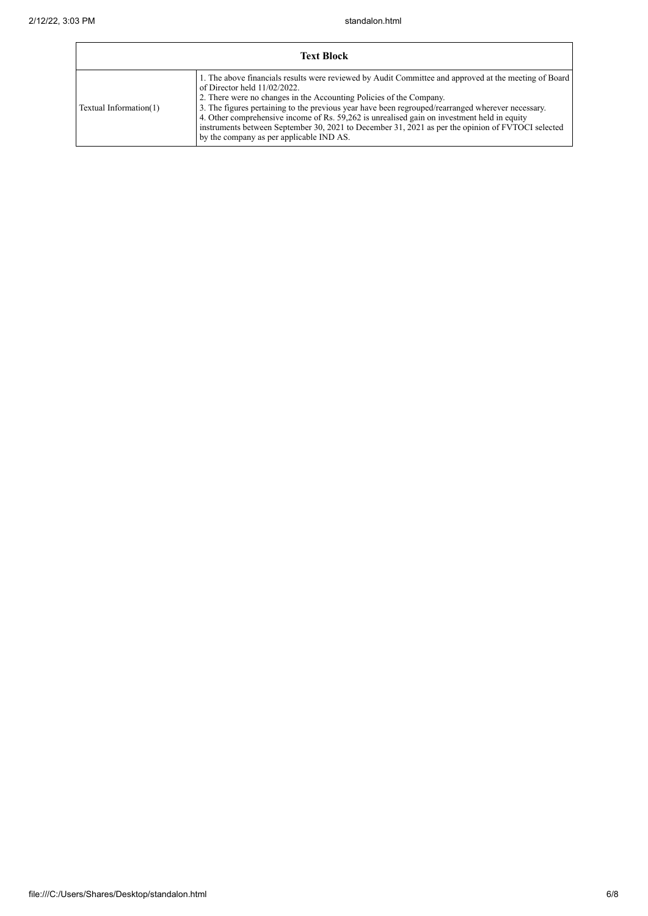|                        | <b>Text Block</b>                                                                                                                                                                                                                                                                                                                                                                                                                                                                                                                                                 |
|------------------------|-------------------------------------------------------------------------------------------------------------------------------------------------------------------------------------------------------------------------------------------------------------------------------------------------------------------------------------------------------------------------------------------------------------------------------------------------------------------------------------------------------------------------------------------------------------------|
| Textual Information(1) | 1. The above financials results were reviewed by Audit Committee and approved at the meeting of Board<br>of Director held 11/02/2022.<br>2. There were no changes in the Accounting Policies of the Company.<br>3. The figures pertaining to the previous year have been regrouped/rearranged wherever necessary.<br>4. Other comprehensive income of Rs. 59,262 is unrealised gain on investment held in equity<br>instruments between September 30, 2021 to December 31, 2021 as per the opinion of FVTOCI selected<br>by the company as per applicable IND AS. |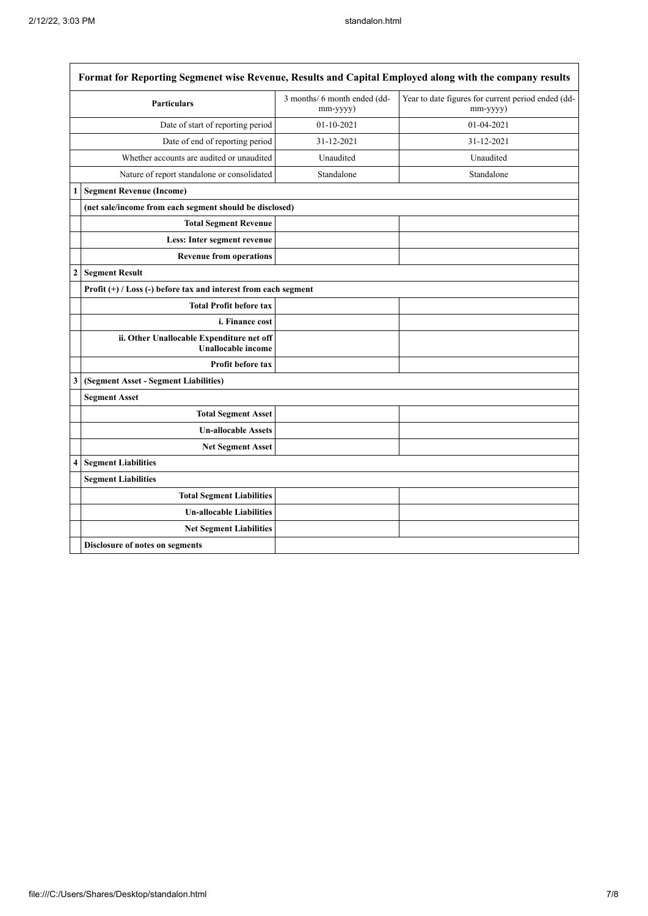|                                | Format for Reporting Segmenet wise Revenue, Results and Capital Employed along with the company results |                                          |                                                                |  |
|--------------------------------|---------------------------------------------------------------------------------------------------------|------------------------------------------|----------------------------------------------------------------|--|
|                                | <b>Particulars</b>                                                                                      | 3 months/ 6 month ended (dd-<br>mm-yyyy) | Year to date figures for current period ended (dd-<br>mm-yyyy) |  |
|                                | Date of start of reporting period                                                                       | $01-10-2021$                             | 01-04-2021                                                     |  |
|                                | Date of end of reporting period                                                                         | 31-12-2021                               | 31-12-2021                                                     |  |
|                                | Whether accounts are audited or unaudited                                                               | Unaudited                                | Unaudited                                                      |  |
|                                | Nature of report standalone or consolidated                                                             | Standalone                               | Standalone                                                     |  |
| 1                              | <b>Segment Revenue (Income)</b>                                                                         |                                          |                                                                |  |
|                                | (net sale/income from each segment should be disclosed)                                                 |                                          |                                                                |  |
|                                | <b>Total Segment Revenue</b>                                                                            |                                          |                                                                |  |
|                                | Less: Inter segment revenue                                                                             |                                          |                                                                |  |
|                                | <b>Revenue from operations</b>                                                                          |                                          |                                                                |  |
|                                | 2 Segment Result                                                                                        |                                          |                                                                |  |
|                                | Profit $(+)$ / Loss (-) before tax and interest from each segment                                       |                                          |                                                                |  |
| <b>Total Profit before tax</b> |                                                                                                         |                                          |                                                                |  |
|                                | i. Finance cost                                                                                         |                                          |                                                                |  |
|                                | ii. Other Unallocable Expenditure net off<br><b>Unallocable income</b>                                  |                                          |                                                                |  |
|                                | <b>Profit before tax</b>                                                                                |                                          |                                                                |  |
| 3                              | (Segment Asset - Segment Liabilities)                                                                   |                                          |                                                                |  |
|                                | <b>Segment Asset</b>                                                                                    |                                          |                                                                |  |
|                                | <b>Total Segment Asset</b>                                                                              |                                          |                                                                |  |
|                                | <b>Un-allocable Assets</b>                                                                              |                                          |                                                                |  |
|                                | Net Segment Asset                                                                                       |                                          |                                                                |  |
| 4                              | <b>Segment Liabilities</b>                                                                              |                                          |                                                                |  |
|                                | <b>Segment Liabilities</b>                                                                              |                                          |                                                                |  |
|                                | <b>Total Segment Liabilities</b>                                                                        |                                          |                                                                |  |
|                                | <b>Un-allocable Liabilities</b>                                                                         |                                          |                                                                |  |
|                                | <b>Net Segment Liabilities</b>                                                                          |                                          |                                                                |  |
|                                | Disclosure of notes on segments                                                                         |                                          |                                                                |  |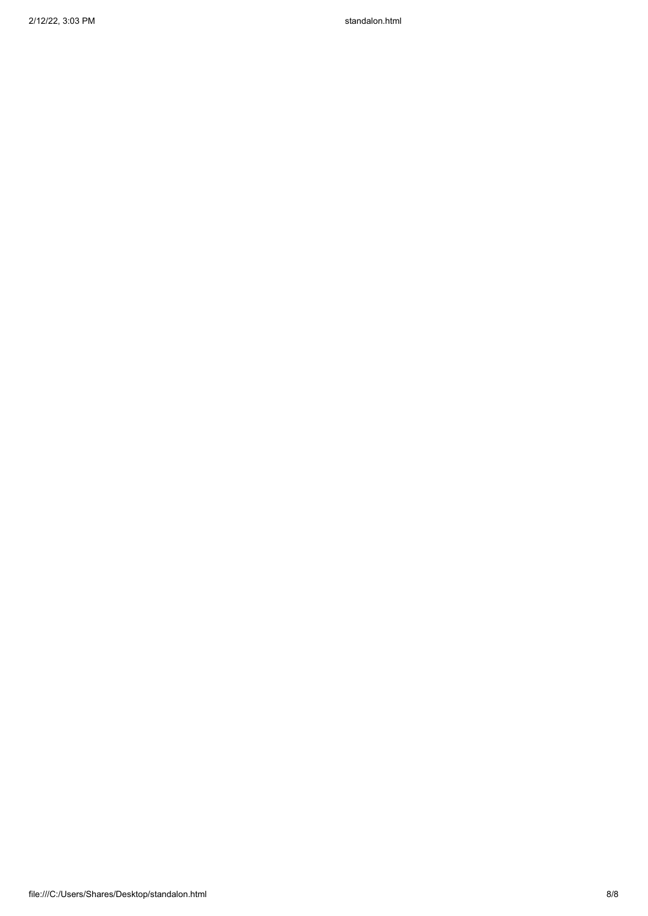2/12/22, 3:03 PM standalon.html